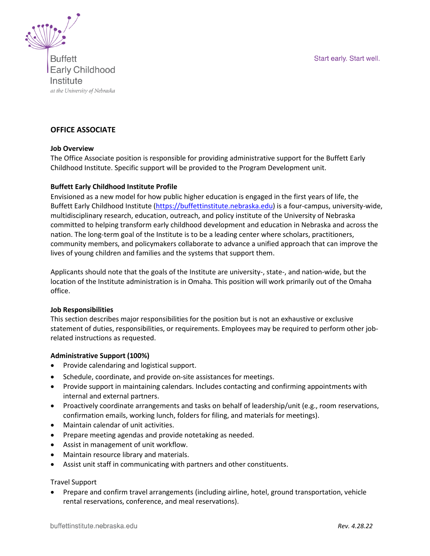Start early. Start well.



**Buffett Early Childhood** Institute at the University of Nebraska

## **OFFICE ASSOCIATE**

#### **Job Overview**

The Office Associate position is responsible for providing administrative support for the Buffett Early Childhood Institute. Specific support will be provided to the Program Development unit.

#### **Buffett Early Childhood Institute Profile**

Envisioned as a new model for how public higher education is engaged in the first years of life, the Buffett Early Childhood Institute [\(https://buffettinstitute.nebraska.edu\)](https://buffettinstitute.nebraska.edu/) is a four-campus, university-wide, multidisciplinary research, education, outreach, and policy institute of the University of Nebraska committed to helping transform early childhood development and education in Nebraska and across the nation. The long-term goal of the Institute is to be a leading center where scholars, practitioners, community members, and policymakers collaborate to advance a unified approach that can improve the lives of young children and families and the systems that support them.

Applicants should note that the goals of the Institute are university-, state-, and nation-wide, but the location of the Institute administration is in Omaha. This position will work primarily out of the Omaha office.

#### **Job Responsibilities**

This section describes major responsibilities for the position but is not an exhaustive or exclusive statement of duties, responsibilities, or requirements. Employees may be required to perform other jobrelated instructions as requested.

#### **Administrative Support (100%)**

- Provide calendaring and logistical support.
- Schedule, coordinate, and provide on-site assistances for meetings.
- Provide support in maintaining calendars. Includes contacting and confirming appointments with internal and external partners.
- Proactively coordinate arrangements and tasks on behalf of leadership/unit (e.g., room reservations, confirmation emails, working lunch, folders for filing, and materials for meetings).
- Maintain calendar of unit activities.
- Prepare meeting agendas and provide notetaking as needed.
- Assist in management of unit workflow.
- Maintain resource library and materials.
- Assist unit staff in communicating with partners and other constituents.

#### Travel Support

• Prepare and confirm travel arrangements (including airline, hotel, ground transportation, vehicle rental reservations, conference, and meal reservations).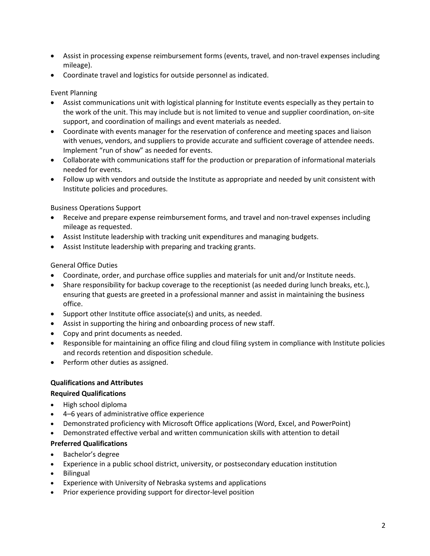- Assist in processing expense reimbursement forms (events, travel, and non-travel expenses including mileage).
- Coordinate travel and logistics for outside personnel as indicated.

## Event Planning

- Assist communications unit with logistical planning for Institute events especially as they pertain to the work of the unit. This may include but is not limited to venue and supplier coordination, on-site support, and coordination of mailings and event materials as needed.
- Coordinate with events manager for the reservation of conference and meeting spaces and liaison with venues, vendors, and suppliers to provide accurate and sufficient coverage of attendee needs. Implement "run of show" as needed for events.
- Collaborate with communications staff for the production or preparation of informational materials needed for events.
- Follow up with vendors and outside the Institute as appropriate and needed by unit consistent with Institute policies and procedures.

## Business Operations Support

- Receive and prepare expense reimbursement forms, and travel and non-travel expenses including mileage as requested.
- Assist Institute leadership with tracking unit expenditures and managing budgets.
- Assist Institute leadership with preparing and tracking grants.

## General Office Duties

- Coordinate, order, and purchase office supplies and materials for unit and/or Institute needs.
- Share responsibility for backup coverage to the receptionist (as needed during lunch breaks, etc.), ensuring that guests are greeted in a professional manner and assist in maintaining the business office.
- Support other Institute office associate(s) and units, as needed.
- Assist in supporting the hiring and onboarding process of new staff.
- Copy and print documents as needed.
- Responsible for maintaining an office filing and cloud filing system in compliance with Institute policies and records retention and disposition schedule.
- Perform other duties as assigned.

## **Qualifications and Attributes**

# **Required Qualifications**

- High school diploma
- 4–6 years of administrative office experience
- Demonstrated proficiency with Microsoft Office applications (Word, Excel, and PowerPoint)
- Demonstrated effective verbal and written communication skills with attention to detail

# **Preferred Qualifications**

- Bachelor's degree
- Experience in a public school district, university, or postsecondary education institution
- Bilingual
- Experience with University of Nebraska systems and applications
- Prior experience providing support for director-level position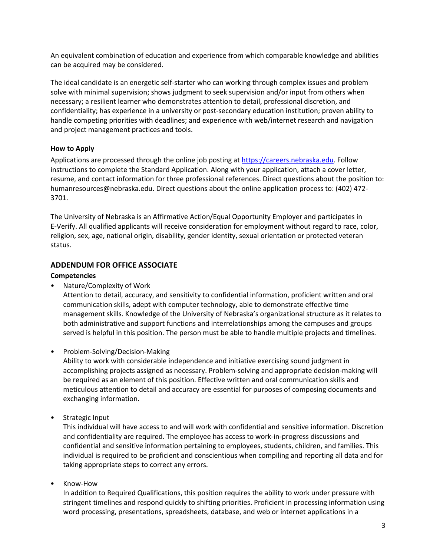An equivalent combination of education and experience from which comparable knowledge and abilities can be acquired may be considered.

The ideal candidate is an energetic self-starter who can working through complex issues and problem solve with minimal supervision; shows judgment to seek supervision and/or input from others when necessary; a resilient learner who demonstrates attention to detail, professional discretion, and confidentiality; has experience in a university or post-secondary education institution; proven ability to handle competing priorities with deadlines; and experience with web/internet research and navigation and project management practices and tools.

## **How to Apply**

Applications are processed through the online job posting at [https://careers.nebraska.edu.](https://careers.nebraska.edu/) Follow instructions to complete the Standard Application. Along with your application, attach a cover letter, resume, and contact information for three professional references. Direct questions about the position to: humanresources@nebraska.edu. Direct questions about the online application process to: (402) 472- 3701.

The University of Nebraska is an Affirmative Action/Equal Opportunity Employer and participates in E-Verify. All qualified applicants will receive consideration for employment without regard to race, color, religion, sex, age, national origin, disability, gender identity, sexual orientation or protected veteran status.

## **ADDENDUM FOR OFFICE ASSOCIATE**

#### **Competencies**

• Nature/Complexity of Work

Attention to detail, accuracy, and sensitivity to confidential information, proficient written and oral communication skills, adept with computer technology, able to demonstrate effective time management skills. Knowledge of the University of Nebraska's organizational structure as it relates to both administrative and support functions and interrelationships among the campuses and groups served is helpful in this position. The person must be able to handle multiple projects and timelines.

• Problem-Solving/Decision-Making

Ability to work with considerable independence and initiative exercising sound judgment in accomplishing projects assigned as necessary. Problem-solving and appropriate decision-making will be required as an element of this position. Effective written and oral communication skills and meticulous attention to detail and accuracy are essential for purposes of composing documents and exchanging information.

• Strategic Input

This individual will have access to and will work with confidential and sensitive information. Discretion and confidentiality are required. The employee has access to work-in-progress discussions and confidential and sensitive information pertaining to employees, students, children, and families. This individual is required to be proficient and conscientious when compiling and reporting all data and for taking appropriate steps to correct any errors.

• Know-How

In addition to Required Qualifications, this position requires the ability to work under pressure with stringent timelines and respond quickly to shifting priorities. Proficient in processing information using word processing, presentations, spreadsheets, database, and web or internet applications in a